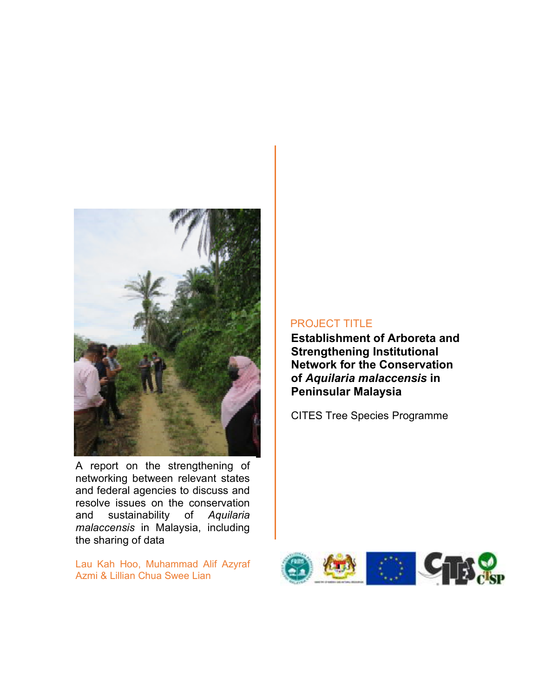

A report on the strengthening of networking between relevant states and federal agencies to discuss and resolve issues on the conservation and sustainability of *Aquilaria malaccensis* in Malaysia, including the sharing of data

Lau Kah Hoo, Muhammad Alif Azyraf Azmi & Lillian Chua Swee Lian

## PROJECT TITLE

**Establishment of Arboreta and Strengthening Institutional Network for the Conservation of** *Aquilaria malaccensis* **in Peninsular Malaysia** 

CITES Tree Species Programme

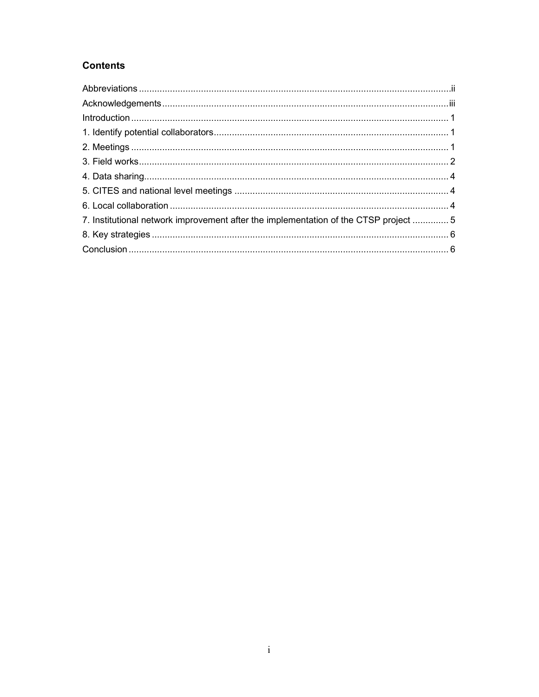# **Contents**

| 7. Institutional network improvement after the implementation of the CTSP project  5 |  |
|--------------------------------------------------------------------------------------|--|
|                                                                                      |  |
|                                                                                      |  |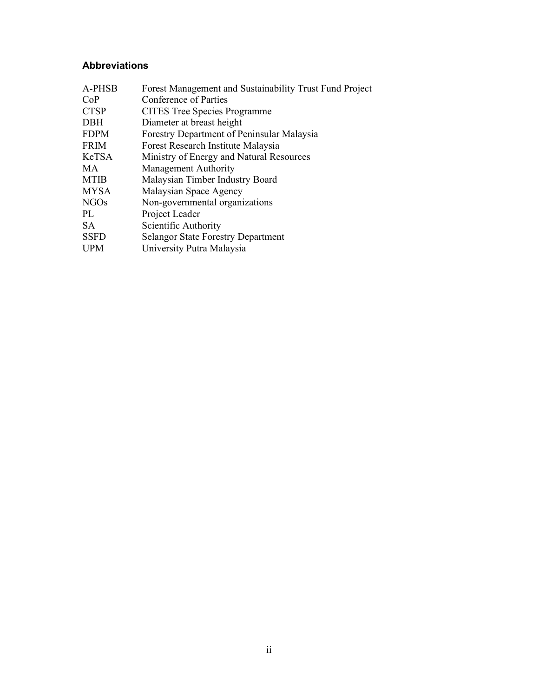## **Abbreviations**

| A-PHSB      | Forest Management and Sustainability Trust Fund Project |
|-------------|---------------------------------------------------------|
| CoP         | Conference of Parties                                   |
| <b>CTSP</b> | <b>CITES</b> Tree Species Programme                     |
| <b>DBH</b>  | Diameter at breast height                               |
| <b>FDPM</b> | Forestry Department of Peninsular Malaysia              |
| <b>FRIM</b> | Forest Research Institute Malaysia                      |
| KeTSA       | Ministry of Energy and Natural Resources                |
| MA.         | Management Authority                                    |
| <b>MTIB</b> | Malaysian Timber Industry Board                         |
| <b>MYSA</b> | Malaysian Space Agency                                  |
| <b>NGOs</b> | Non-governmental organizations                          |
| PL          | Project Leader                                          |
| SA.         | Scientific Authority                                    |
| <b>SSFD</b> | <b>Selangor State Forestry Department</b>               |
| <b>UPM</b>  | University Putra Malaysia                               |
|             |                                                         |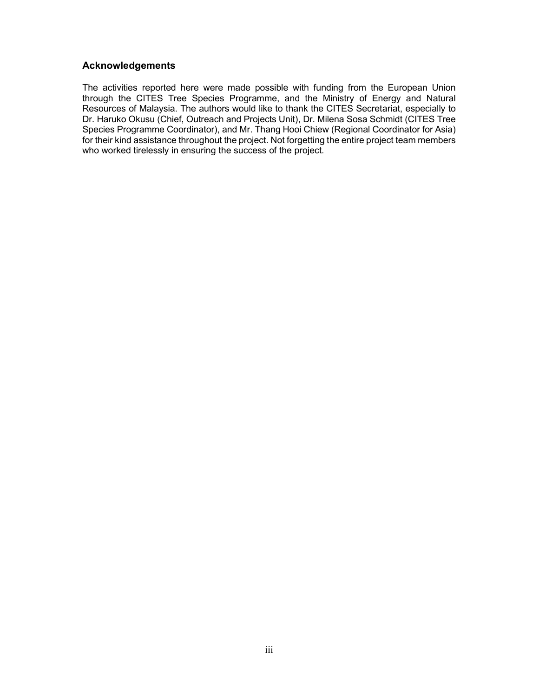## **Acknowledgements**

The activities reported here were made possible with funding from the European Union through the CITES Tree Species Programme, and the Ministry of Energy and Natural Resources of Malaysia. The authors would like to thank the CITES Secretariat, especially to Dr. Haruko Okusu (Chief, Outreach and Projects Unit), Dr. Milena Sosa Schmidt (CITES Tree Species Programme Coordinator), and Mr. Thang Hooi Chiew (Regional Coordinator for Asia) for their kind assistance throughout the project. Not forgetting the entire project team members who worked tirelessly in ensuring the success of the project.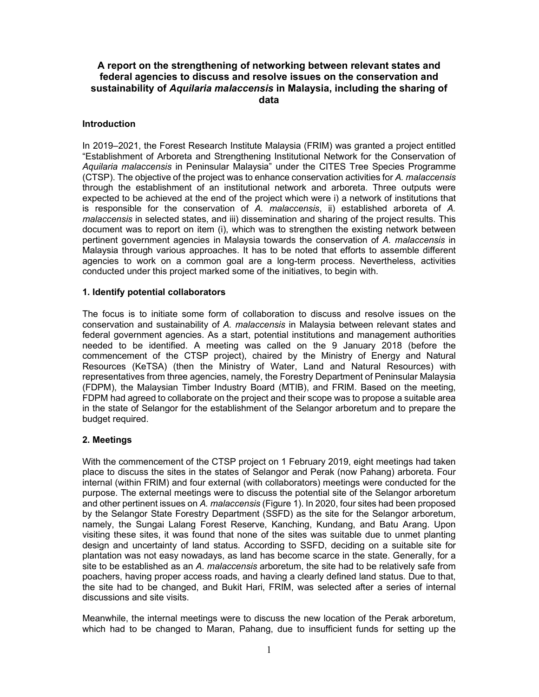## **A report on the strengthening of networking between relevant states and federal agencies to discuss and resolve issues on the conservation and sustainability of** *Aquilaria malaccensis* **in Malaysia, including the sharing of data**

#### **Introduction**

In 2019–2021, the Forest Research Institute Malaysia (FRIM) was granted a project entitled "Establishment of Arboreta and Strengthening Institutional Network for the Conservation of *Aquilaria malaccensis* in Peninsular Malaysia" under the CITES Tree Species Programme (CTSP). The objective of the project was to enhance conservation activities for *A. malaccensis* through the establishment of an institutional network and arboreta. Three outputs were expected to be achieved at the end of the project which were i) a network of institutions that is responsible for the conservation of *A. malaccensis*, ii) established arboreta of *A. malaccensis* in selected states, and iii) dissemination and sharing of the project results. This document was to report on item (i), which was to strengthen the existing network between pertinent government agencies in Malaysia towards the conservation of *A. malaccensis* in Malaysia through various approaches. It has to be noted that efforts to assemble different agencies to work on a common goal are a long-term process. Nevertheless, activities conducted under this project marked some of the initiatives, to begin with.

#### **1. Identify potential collaborators**

The focus is to initiate some form of collaboration to discuss and resolve issues on the conservation and sustainability of *A. malaccensis* in Malaysia between relevant states and federal government agencies. As a start, potential institutions and management authorities needed to be identified. A meeting was called on the 9 January 2018 (before the commencement of the CTSP project), chaired by the Ministry of Energy and Natural Resources (KeTSA) (then the Ministry of Water, Land and Natural Resources) with representatives from three agencies, namely, the Forestry Department of Peninsular Malaysia (FDPM), the Malaysian Timber Industry Board (MTIB), and FRIM. Based on the meeting, FDPM had agreed to collaborate on the project and their scope was to propose a suitable area in the state of Selangor for the establishment of the Selangor arboretum and to prepare the budget required.

#### **2. Meetings**

With the commencement of the CTSP project on 1 February 2019, eight meetings had taken place to discuss the sites in the states of Selangor and Perak (now Pahang) arboreta. Four internal (within FRIM) and four external (with collaborators) meetings were conducted for the purpose. The external meetings were to discuss the potential site of the Selangor arboretum and other pertinent issues on *A. malaccensis* (Figure 1). In 2020, four sites had been proposed by the Selangor State Forestry Department (SSFD) as the site for the Selangor arboretum, namely, the Sungai Lalang Forest Reserve, Kanching, Kundang, and Batu Arang. Upon visiting these sites, it was found that none of the sites was suitable due to unmet planting design and uncertainty of land status. According to SSFD, deciding on a suitable site for plantation was not easy nowadays, as land has become scarce in the state. Generally, for a site to be established as an *A. malaccensis* arboretum, the site had to be relatively safe from poachers, having proper access roads, and having a clearly defined land status. Due to that, the site had to be changed, and Bukit Hari, FRIM, was selected after a series of internal discussions and site visits.

Meanwhile, the internal meetings were to discuss the new location of the Perak arboretum, which had to be changed to Maran, Pahang, due to insufficient funds for setting up the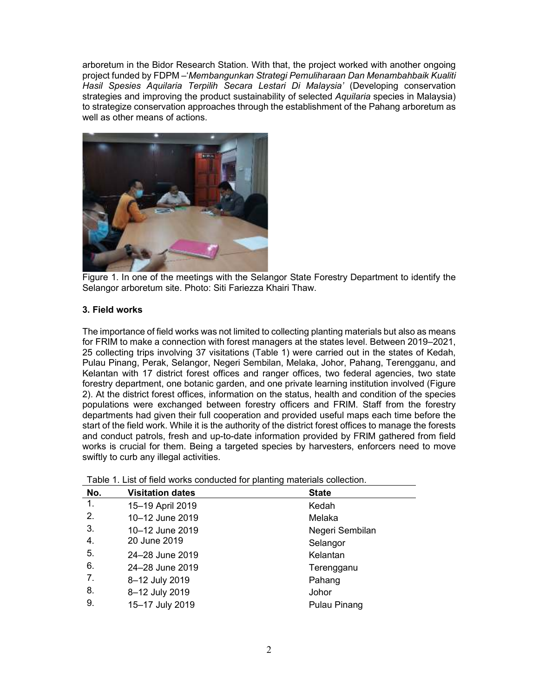arboretum in the Bidor Research Station. With that, the project worked with another ongoing project funded by FDPM –'*Membangunkan Strategi Pemuliharaan Dan Menambahbaik Kualiti Hasil Spesies Aquilaria Terpilih Secara Lestari Di Malaysia'* (Developing conservation strategies and improving the product sustainability of selected *Aquilaria* species in Malaysia) to strategize conservation approaches through the establishment of the Pahang arboretum as well as other means of actions.



Figure 1. In one of the meetings with the Selangor State Forestry Department to identify the Selangor arboretum site. Photo: Siti Fariezza Khairi Thaw.

## **3. Field works**

The importance of field works was not limited to collecting planting materials but also as means for FRIM to make a connection with forest managers at the states level. Between 2019–2021, 25 collecting trips involving 37 visitations (Table 1) were carried out in the states of Kedah, Pulau Pinang, Perak, Selangor, Negeri Sembilan, Melaka, Johor, Pahang, Terengganu, and Kelantan with 17 district forest offices and ranger offices, two federal agencies, two state forestry department, one botanic garden, and one private learning institution involved (Figure 2). At the district forest offices, information on the status, health and condition of the species populations were exchanged between forestry officers and FRIM. Staff from the forestry departments had given their full cooperation and provided useful maps each time before the start of the field work. While it is the authority of the district forest offices to manage the forests and conduct patrols, fresh and up-to-date information provided by FRIM gathered from field works is crucial for them. Being a targeted species by harvesters, enforcers need to move swiftly to curb any illegal activities.

| No. | <b>Visitation dates</b> | <b>State</b>    |
|-----|-------------------------|-----------------|
| 1.  | 15-19 April 2019        | Kedah           |
| 2.  | 10-12 June 2019         | Melaka          |
| 3.  | 10-12 June 2019         | Negeri Sembilan |
| 4.  | 20 June 2019            | Selangor        |
| 5.  | 24-28 June 2019         | Kelantan        |
| 6.  | 24-28 June 2019         | Terengganu      |
| 7.  | 8-12 July 2019          | Pahang          |
| 8.  | 8-12 July 2019          | Johor           |
| 9.  | 15-17 July 2019         | Pulau Pinang    |

Table 1. List of field works conducted for planting materials collection.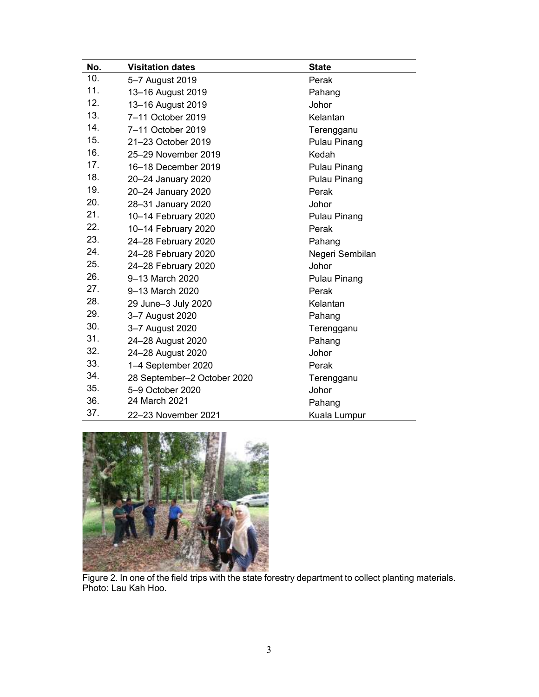| No. | <b>Visitation dates</b>     | <b>State</b>        |
|-----|-----------------------------|---------------------|
| 10. | 5-7 August 2019             | Perak               |
| 11. | 13-16 August 2019           | Pahang              |
| 12. | 13-16 August 2019           | Johor               |
| 13. | 7-11 October 2019           | Kelantan            |
| 14. | 7-11 October 2019           | Terengganu          |
| 15. | 21-23 October 2019          | Pulau Pinang        |
| 16. | 25-29 November 2019         | Kedah               |
| 17. | 16-18 December 2019         | <b>Pulau Pinang</b> |
| 18. | 20-24 January 2020          | <b>Pulau Pinang</b> |
| 19. | 20-24 January 2020          | Perak               |
| 20. | 28-31 January 2020          | Johor               |
| 21. | 10-14 February 2020         | <b>Pulau Pinang</b> |
| 22. | 10-14 February 2020         | Perak               |
| 23. | 24-28 February 2020         | Pahang              |
| 24. | 24-28 February 2020         | Negeri Sembilan     |
| 25. | 24-28 February 2020         | Johor               |
| 26. | 9-13 March 2020             | Pulau Pinang        |
| 27. | 9-13 March 2020             | Perak               |
| 28. | 29 June-3 July 2020         | Kelantan            |
| 29. | 3-7 August 2020             | Pahang              |
| 30. | 3-7 August 2020             | Terengganu          |
| 31. | 24-28 August 2020           | Pahang              |
| 32. | 24-28 August 2020           | Johor               |
| 33. | 1-4 September 2020          | Perak               |
| 34. | 28 September-2 October 2020 | Terengganu          |
| 35. | 5-9 October 2020            | Johor               |
| 36. | 24 March 2021               | Pahang              |
| 37. | 22-23 November 2021         | Kuala Lumpur        |



Figure 2. In one of the field trips with the state forestry department to collect planting materials. Photo: Lau Kah Hoo.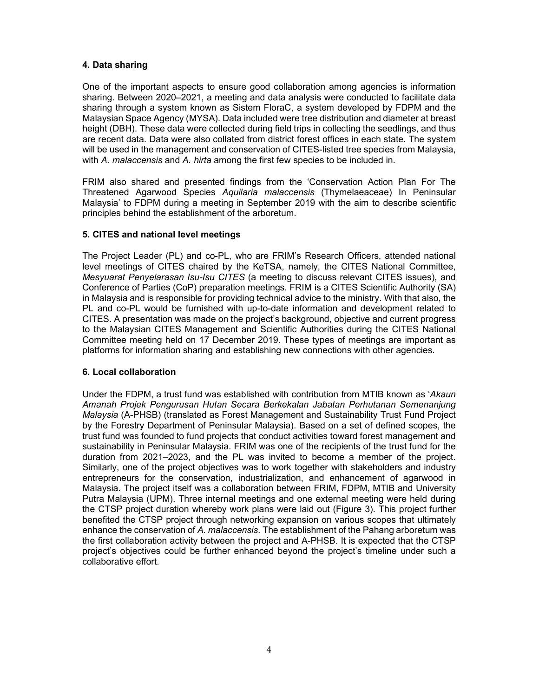## **4. Data sharing**

One of the important aspects to ensure good collaboration among agencies is information sharing. Between 2020–2021, a meeting and data analysis were conducted to facilitate data sharing through a system known as Sistem FloraC, a system developed by FDPM and the Malaysian Space Agency (MYSA). Data included were tree distribution and diameter at breast height (DBH). These data were collected during field trips in collecting the seedlings, and thus are recent data. Data were also collated from district forest offices in each state. The system will be used in the management and conservation of CITES-listed tree species from Malaysia, with *A. malaccensis* and *A. hirta* among the first few species to be included in.

FRIM also shared and presented findings from the 'Conservation Action Plan For The Threatened Agarwood Species *Aquilaria malaccensis* (Thymelaeaceae) In Peninsular Malaysia' to FDPM during a meeting in September 2019 with the aim to describe scientific principles behind the establishment of the arboretum.

## **5. CITES and national level meetings**

The Project Leader (PL) and co-PL, who are FRIM's Research Officers, attended national level meetings of CITES chaired by the KeTSA, namely, the CITES National Committee, *Mesyuarat Penyelarasan Isu-Isu CITES* (a meeting to discuss relevant CITES issues), and Conference of Parties (CoP) preparation meetings. FRIM is a CITES Scientific Authority (SA) in Malaysia and is responsible for providing technical advice to the ministry. With that also, the PL and co-PL would be furnished with up-to-date information and development related to CITES. A presentation was made on the project's background, objective and current progress to the Malaysian CITES Management and Scientific Authorities during the CITES National Committee meeting held on 17 December 2019. These types of meetings are important as platforms for information sharing and establishing new connections with other agencies.

#### **6. Local collaboration**

Under the FDPM, a trust fund was established with contribution from MTIB known as '*Akaun Amanah Projek Pengurusan Hutan Secara Berkekalan Jabatan Perhutanan Semenanjung Malaysia* (A-PHSB) (translated as Forest Management and Sustainability Trust Fund Project by the Forestry Department of Peninsular Malaysia). Based on a set of defined scopes, the trust fund was founded to fund projects that conduct activities toward forest management and sustainability in Peninsular Malaysia. FRIM was one of the recipients of the trust fund for the duration from 2021–2023, and the PL was invited to become a member of the project. Similarly, one of the project objectives was to work together with stakeholders and industry entrepreneurs for the conservation, industrialization, and enhancement of agarwood in Malaysia. The project itself was a collaboration between FRIM, FDPM, MTIB and University Putra Malaysia (UPM). Three internal meetings and one external meeting were held during the CTSP project duration whereby work plans were laid out (Figure 3). This project further benefited the CTSP project through networking expansion on various scopes that ultimately enhance the conservation of *A. malaccensis*. The establishment of the Pahang arboretum was the first collaboration activity between the project and A-PHSB. It is expected that the CTSP project's objectives could be further enhanced beyond the project's timeline under such a collaborative effort.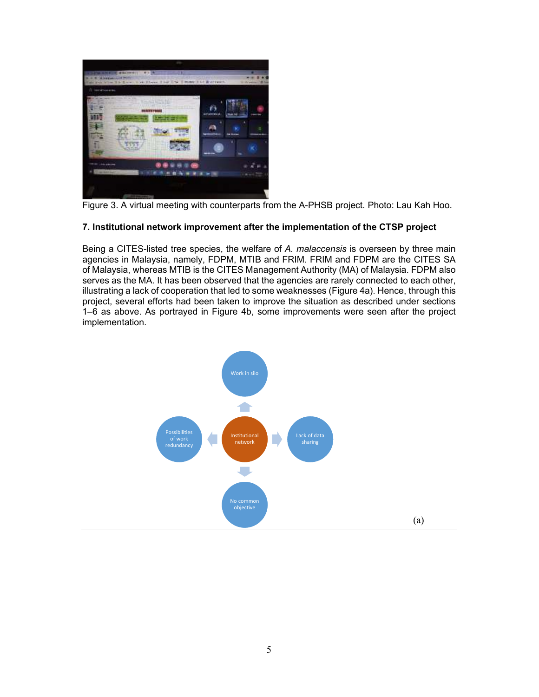

Figure 3. A virtual meeting with counterparts from the A-PHSB project. Photo: Lau Kah Hoo.

## **7. Institutional network improvement after the implementation of the CTSP project**

Being a CITES-listed tree species, the welfare of *A. malaccensis* is overseen by three main agencies in Malaysia, namely, FDPM, MTIB and FRIM. FRIM and FDPM are the CITES SA of Malaysia, whereas MTIB is the CITES Management Authority (MA) of Malaysia. FDPM also serves as the MA. It has been observed that the agencies are rarely connected to each other, illustrating a lack of cooperation that led to some weaknesses (Figure 4a). Hence, through this project, several efforts had been taken to improve the situation as described under sections 1‒6 as above. As portrayed in Figure 4b, some improvements were seen after the project implementation.